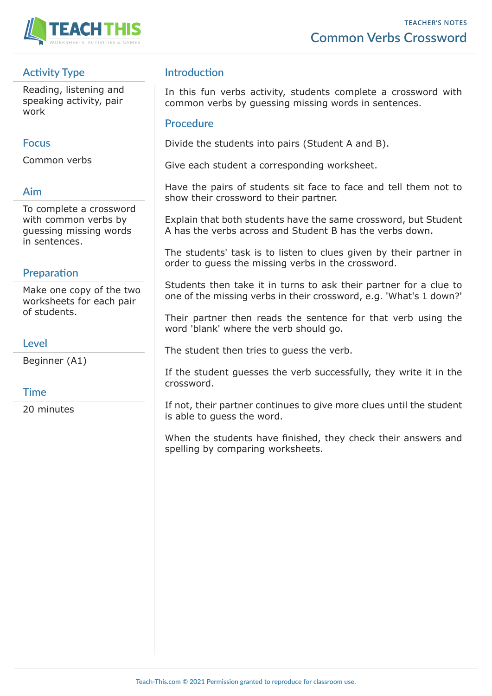



## **Activity Type**

Reading, listening and speaking activity, pair work

#### **Focus**

Common verbs

### **Aim**

To complete a crossword with common verbs by guessing missing words in sentences.

## **Preparation**

Make one copy of the two worksheets for each pair of students.

#### **Level**

Beginner (A1)

### **Time**

20 minutes

## **Introduction**

In this fun verbs activity, students complete a crossword with common verbs by guessing missing words in sentences.

#### **Procedure**

Divide the students into pairs (Student A and B).

Give each student a corresponding worksheet.

Have the pairs of students sit face to face and tell them not to show their crossword to their partner.

Explain that both students have the same crossword, but Student A has the verbs across and Student B has the verbs down.

The students' task is to listen to clues given by their partner in order to guess the missing verbs in the crossword.

Students then take it in turns to ask their partner for a clue to one of the missing verbs in their crossword, e.g. 'What's 1 down?'

Their partner then reads the sentence for that verb using the word 'blank' where the verb should go.

The student then tries to guess the verb.

If the student guesses the verb successfully, they write it in the crossword.

If not, their partner continues to give more clues until the student is able to guess the word.

When the students have finished, they check their answers and spelling by comparing worksheets.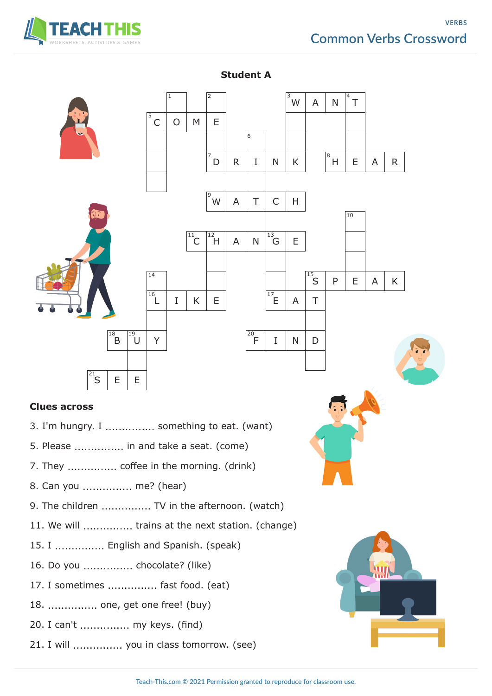# **Common Verbs Crossword**





**Student A**

- 7. They ............... coffee in the morning. (drink)
- 8. Can you ............... me? (hear)
- 9. The children ............... TV in the afternoon. (watch)
- 11. We will ............... trains at the next station. (change)
- 15. I ............... English and Spanish. (speak)
- 16. Do you ............... chocolate? (like)
- 17. I sometimes ............... fast food. (eat)
- 18. ............... one, get one free! (buy)
- 20. I can't ............... my keys. (find)
- 21. I will ............... you in class tomorrow. (see)